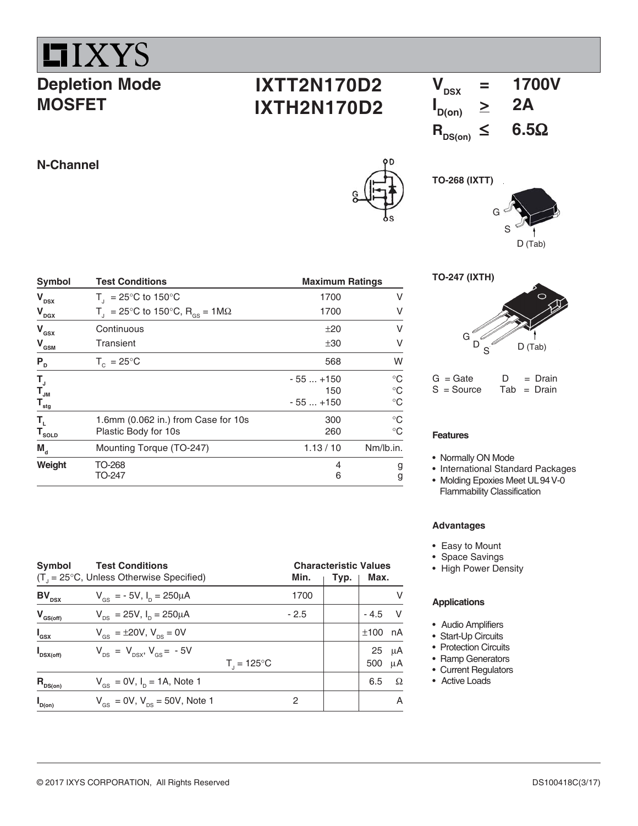

## **Depletion Mode MOSFET**

# **IXTT2N170D2 IXTH2N170D2**



G

**TO-268 (IXTT)**

**N-Channel**

| Symbol                       | <b>Test Conditions</b>                                        | <b>Maximum Ratings</b> |             |  |  |
|------------------------------|---------------------------------------------------------------|------------------------|-------------|--|--|
| $V_{DSX}$                    | $T_{1}$ = 25°C to 150°C                                       | 1700                   | ٧           |  |  |
| $V_{\text{DGX}}$             | T <sub>1</sub> = 25°C to 150°C, R <sub>os</sub> = 1M $\Omega$ | 1700                   | v           |  |  |
| $V_{\rm{asx}}$               | Continuous                                                    | ±20                    | ٧           |  |  |
| $V_{\text{\tiny{GSM}}}$      | Transient                                                     | ±30                    | V           |  |  |
| $\mathsf{P}_{\texttt{D}}$    | $T_c = 25^{\circ}$ C                                          | 568                    | W           |  |  |
| T,                           |                                                               | $-55+150$              | $^{\circ}C$ |  |  |
| $T_{_{\textrm{JM}}}$         |                                                               | 150                    | $\circ$ C   |  |  |
| $T_{\text{stg}}$             |                                                               | $-55+150$              | $\circ$ C   |  |  |
| Т,                           | 1.6mm (0.062 in.) from Case for 10s                           | 300                    | $^{\circ}C$ |  |  |
| $\mathsf{T}_{\textsf{SOLD}}$ | Plastic Body for 10s                                          | 260                    | $^{\circ}C$ |  |  |
| $M_{\rm d}$                  | Mounting Torque (TO-247)                                      | 1.13 / 10              | Nm/lb.in.   |  |  |
| Weight                       | TO-268                                                        | 4                      | g           |  |  |
|                              | TO-247                                                        | 6                      | g           |  |  |

| Symbol<br>$(T_{1} = 25^{\circ}C,$ Unless Otherwise Specified) | <b>Characteristic Values</b><br>Typ.                  | Max.                   |        |  |           |                  |
|---------------------------------------------------------------|-------------------------------------------------------|------------------------|--------|--|-----------|------------------|
| $BV_{DSX}$                                                    | $V_{\text{es}} = -5V$ , $I_{\text{p}} = 250 \mu A$    |                        | 1700   |  |           | V                |
| $V_{GS(off)}$                                                 | $V_{DS} = 25V$ , $I_{D} = 250 \mu A$                  |                        | $-2.5$ |  | $-4.5$ V  |                  |
| $I_{\text{gsx}}$                                              | $V_{\text{es}} = \pm 20 V, V_{\text{es}} = 0V$        |                        |        |  | $±100$ nA |                  |
| $\mathbf{I}_{DSX(off)}$                                       | $V_{DS} = V_{DSX}$ , $V_{GS} = -5V$                   | $T_{1} = 125^{\circ}C$ |        |  | 500       | $25 \mu A$<br>μA |
| $R_{DS(on)}$                                                  | $V_{\text{gs}} = 0V$ , $I_{\text{p}} = 1A$ , Note 1   |                        |        |  | 6.5       | $\Omega$         |
| $\mathbf{I}_{D(on)}$                                          | $V_{\text{gs}} = 0V$ , $V_{\text{ps}} = 50V$ , Note 1 |                        | 2      |  |           | A                |





 $G = Gate$   $D = Drain$ <br> $S = Source$   $Tab = Drain$  $Tab = Drain$ 

#### **Features**

- Normally ON Mode
- International Standard Packages
- Molding Epoxies Meet UL94 V-0 Flammability Classification

#### **Advantages**

- Easy to Mount
- Space Savings
- High Power Density

#### **Applications**

- Audio Amplifiers
- Start-Up Circuits
- Protection Circuits
- Ramp Generators
- Current Regulators
- Active Loads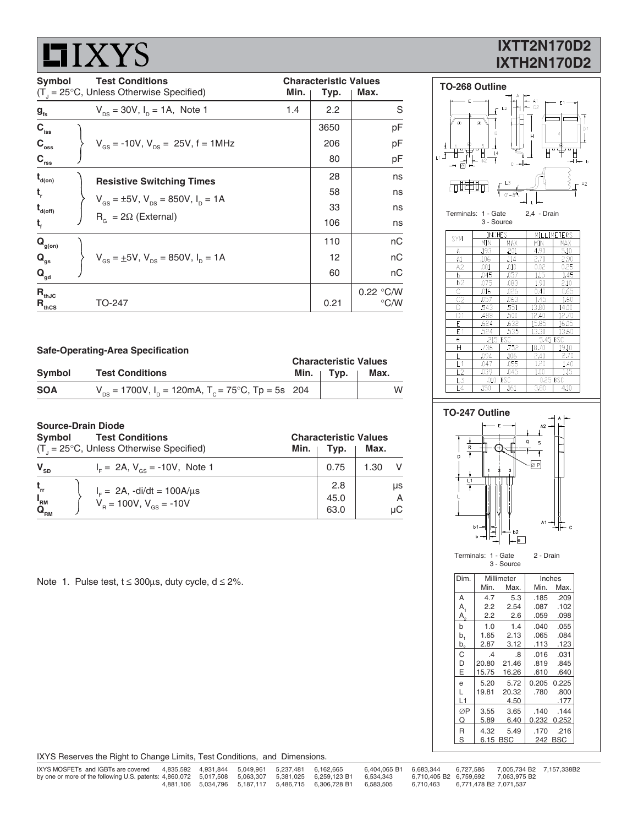# **LIXYS**

## **IXTT2N170D2 IXTH2N170D2**

| <b>Test Conditions</b><br>Symbol |  |                                                                         |      | <b>Characteristic Values</b> |               |
|----------------------------------|--|-------------------------------------------------------------------------|------|------------------------------|---------------|
|                                  |  | $(T1 = 25°C, Unless Otherwise Specifically)$                            | Min. | Typ.                         | Max.          |
| $g_{\rm fs}$                     |  | $V_{\text{ns}} = 30V$ , $I_{\text{p}} = 1A$ , Note 1                    | 1.4  | 2.2                          | S             |
| $C_{\rm{iss}}$                   |  |                                                                         |      | 3650                         | рF            |
| $C_{\rm oss}$                    |  | $V_{\text{gs}} = -10V$ , $V_{\text{ps}} = 25V$ , f = 1MHz               |      | 206                          | рF            |
| $C_{\rm rss}$                    |  |                                                                         |      | 80                           | pF            |
| $t_{\text{\tiny d(0n)}}$         |  | <b>Resistive Switching Times</b>                                        |      | 28                           | ns            |
| τ,                               |  | $V_{\text{gs}} = \pm 5V$ , $V_{\text{ps}} = 850V$ , $I_{\text{p}} = 1A$ |      | 58                           | ns            |
| $t_{\text{\tiny d(off)}}$        |  |                                                                         |      | 33                           | ns            |
| $t_{f}$                          |  | $R_{\alpha} = 2\Omega$ (External)                                       |      | 106                          | ns            |
| $\mathbf{Q}_{\text{g(on)}}$      |  |                                                                         |      | 110                          | nC            |
| $Q_{gs}$                         |  | $V_{GS} = \pm 5V$ , $V_{DS} = 850V$ , $I_{D} = 1A$                      |      | 12                           | пC            |
| $\mathbf{Q}_{\text{gd}}$         |  |                                                                         |      | 60                           | nC            |
| $R_{thJC}$                       |  |                                                                         |      |                              | 0.22 °C/W     |
| $R_{\text{thCS}}$                |  | TO-247                                                                  |      | 0.21                         | $\degree$ C/W |

**TO-268 Outline** F  $\Box$ 42 面世 Terminals: 1 - Gate 2,4 - Drain 3 - Source

| <b>SYM</b>      | <b>INCHES</b> |                   | MILLIMETERS |       |  |
|-----------------|---------------|-------------------|-------------|-------|--|
|                 | MIN           | MAX               | MIN         | MAX   |  |
| Α               | .193          | .201              | 4.90        | 5.10  |  |
| A1              | .106          | .114              | 2.70        | 2.90  |  |
| A2              | .001          | .010              | 0.02        | 0.25  |  |
| b               | .045          | .057              | 1.15        | 1.45  |  |
| $\overline{b2}$ | .075          | .083              | 1.90        | 2.10  |  |
| Ċ               | .016          | .026              | 0.40        | 0.65  |  |
| C <sub>2</sub>  | .057          | .063              | 1.45        | 1.60  |  |
| D               | .543          | .551              | 13.80       | 14.00 |  |
| D <sub>1</sub>  | .488          | .500              | 12.40       | 12.70 |  |
| F               | .624          | .632              | 15.85       | 16.05 |  |
| E <sub>1</sub>  | .524          | $\overline{.}535$ | 13.30       | 13.60 |  |
| e               | .215          | BSC               | 5.45 BSC    |       |  |
| Н               | .736          | .752              | 18.70       | 19.10 |  |
|                 | .094          | .106              | 2.40        | 2.70  |  |
| l 1             | .047          | .055              | 1.20        | 1.40  |  |
| L <sub>2</sub>  | .039          | .045              | 1.00        | 1.15  |  |
| .3              | .010          | BSC               | 0.25 BSC    |       |  |
| $\overline{4}$  | .150          | .161              | 3.80        | 4.10  |  |



Terminals: 1 - Gate 2 - Drain 3 - Source

| Dim.           | Millimeter      |            |       | Inches  |  |  |
|----------------|-----------------|------------|-------|---------|--|--|
|                | Min.            | Max.       | Min.  | Max.    |  |  |
| A              | 4.7             | 5.3        | .185  | .209    |  |  |
| A <sub>1</sub> | 2.2             | 2.54       | .087  | .102    |  |  |
| $A_{\circ}$    | 2.2             | 2.6        | .059  | .098    |  |  |
| b              | 1.0             | 1.4        | .040  | .055    |  |  |
| b,             | 1.65            | 2.13       | .065  | .084    |  |  |
| b,             | 2.87            | 3.12       | .113  | .123    |  |  |
| C              | $\overline{.4}$ | .8         | .016  | .031    |  |  |
| D              | 20.80           | 21.46      | .819  | .845    |  |  |
| E              | 15.75           | 16.26      | .610  | .640    |  |  |
| e              | 5.20            | 5.72       | 0.205 | 0.225   |  |  |
| L              | 19.81           | 20.32      | .780  | .800    |  |  |
| L1             |                 | 4.50       |       | .177    |  |  |
| ØP             | 3.55            | 3.65       | .140  | .144    |  |  |
| Q              | 5.89            | 6.40       | 0.232 | 0.252   |  |  |
| R              | 4.32            | 5.49       | .170  | .216    |  |  |
| S              | 6.15            | <b>BSC</b> |       | 242 BSC |  |  |

**Safe-Operating-Area Specification**

|            |                                                                                     | <b>Characteristic Values</b> |                   |      |  |  |
|------------|-------------------------------------------------------------------------------------|------------------------------|-------------------|------|--|--|
| Symbol     | <b>Test Conditions</b>                                                              |                              | Min. $\vert$ Typ. | Max. |  |  |
| <b>SOA</b> | $V_{\text{pc}}$ = 1700V, I <sub>n</sub> = 120mA, T <sub>n</sub> = 75°C, Tp = 5s 204 |                              |                   | w    |  |  |

#### **Source-Drain Diode**

| Symbol                        | <b>Test Conditions</b>                              | <b>Characteristic Values</b> |      |      |  |  |  |  |
|-------------------------------|-----------------------------------------------------|------------------------------|------|------|--|--|--|--|
|                               | $(T_{1} = 25^{\circ}C,$ Unless Otherwise Specified) | Min.                         | Typ. | Max. |  |  |  |  |
| $V_{SD}$                      | $I_F = 2A$ , $V_{gs} = -10V$ , Note 1               |                              | 0.75 | 1.30 |  |  |  |  |
| $t_{rr}$                      | $I_{F} = 2A$ , -di/dt = 100A/ $\mu$ s               |                              | 2.8  | μs   |  |  |  |  |
| $I_{\rm RM}$                  | $V_{\rm B} = 100V, V_{\rm ds} = -10V$               |                              | 45.0 | A    |  |  |  |  |
| $\mathbf{Q}_{_{\mathsf{RM}}}$ |                                                     |                              | 63.0 | uС   |  |  |  |  |

Note 1. Pulse test,  $t \le 300 \mu s$ , duty cycle,  $d \le 2\%$ .

IXYS Reserves the Right to Change Limits, Test Conditions, and Dimensions.

| IXYS MOSFETs and IGBTs are covered                                                                           |  | 4.835.592  4.931.844  5.049.961  5.237.481  6.162.665 |                                                                      | 6.404.065 B1 6.683.344 |           |                        | 6.727.585 7.005.734 B2 7.157.338B2  |  |
|--------------------------------------------------------------------------------------------------------------|--|-------------------------------------------------------|----------------------------------------------------------------------|------------------------|-----------|------------------------|-------------------------------------|--|
| by one or more of the following U.S. patents: 4,860,072 5,017,508 5,063,307 5,381,025 6,259,123 B1 6,534,343 |  |                                                       |                                                                      |                        |           |                        | 6,710,405 B2 6,759,692 7,063,975 B2 |  |
|                                                                                                              |  |                                                       | 4,881,106  5,034,796  5,187,117  5,486,715  6,306,728  B1  6,583,505 |                        | 6.710.463 | 6.771.478 B2 7.071.537 |                                     |  |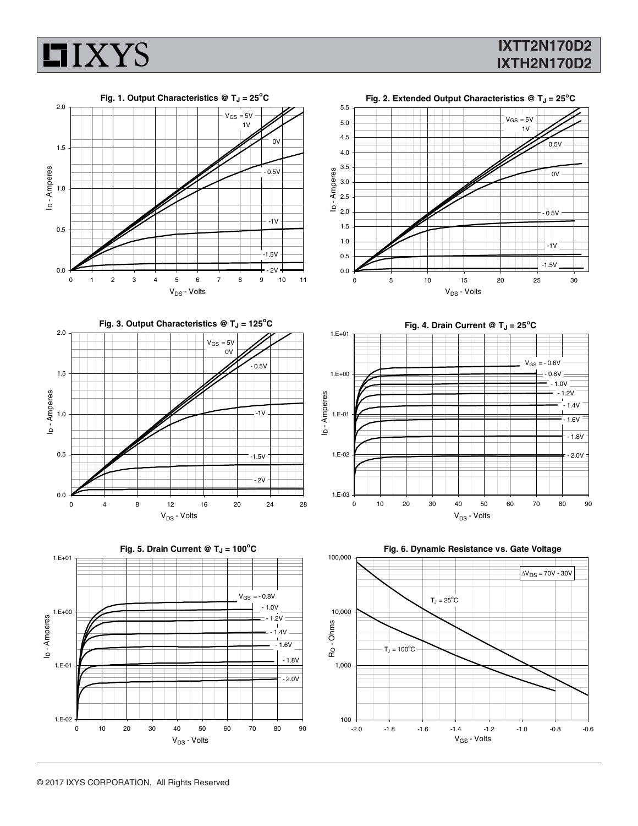

## **IXTT2N170D2 IXTH2N170D2**







**Fig. 4. Drain Current @ T<sub>J</sub> = 25<sup>o</sup>C** 



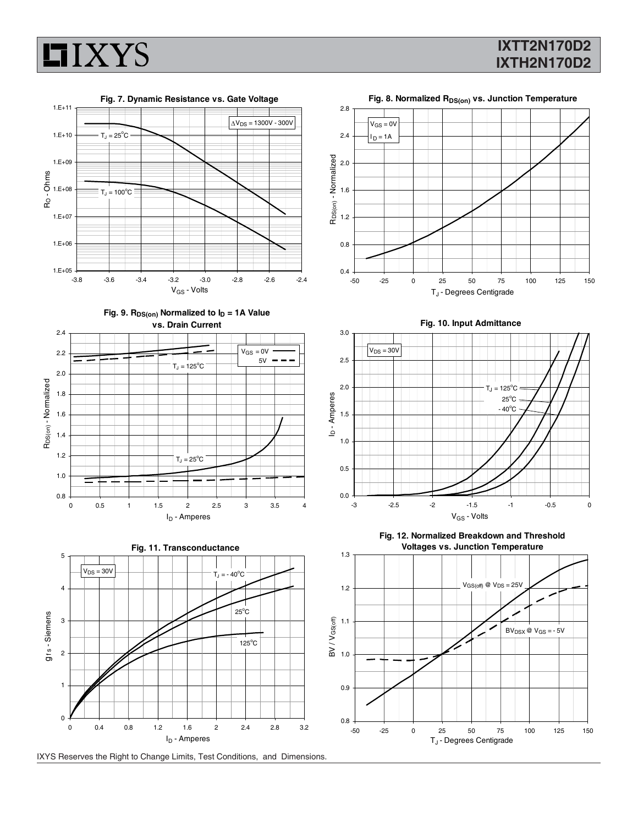

0.8 1.0

1.2

### **IXTT2N170D2 IXTH2N170D2**



Fig. 8. Normalized R<sub>DS(on)</sub> vs. Junction Temperature

 $V_{GS} = 0V$  $I_D = 1A$ 





0 0.5 1 1.5 2 2.5 3 3.5 4 I<sub>D</sub> - Amperes

 $T_J = 25^{\circ}C$ 

**Fig. 12. Normalized Breakdown and Threshold Voltages vs. Junction Temperature**

![](_page_3_Figure_7.jpeg)